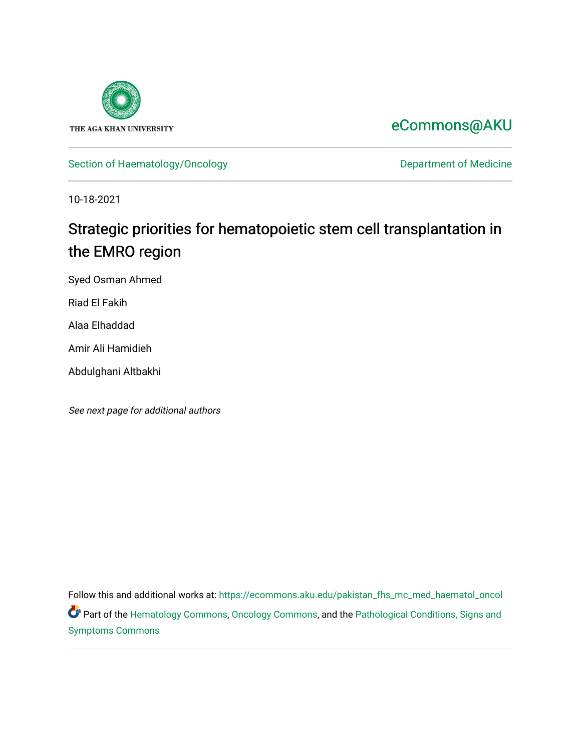

## [eCommons@AKU](https://ecommons.aku.edu/)

[Section of Haematology/Oncology](https://ecommons.aku.edu/pakistan_fhs_mc_med_haematol_oncol) **Department of Medicine** 

10-18-2021

# Strategic priorities for hematopoietic stem cell transplantation in the EMRO region

Syed Osman Ahmed

Riad El Fakih

Alaa Elhaddad

Amir Ali Hamidieh

Abdulghani Altbakhi

See next page for additional authors

Follow this and additional works at: [https://ecommons.aku.edu/pakistan\\_fhs\\_mc\\_med\\_haematol\\_oncol](https://ecommons.aku.edu/pakistan_fhs_mc_med_haematol_oncol?utm_source=ecommons.aku.edu%2Fpakistan_fhs_mc_med_haematol_oncol%2F70&utm_medium=PDF&utm_campaign=PDFCoverPages)  Part of the [Hematology Commons,](http://network.bepress.com/hgg/discipline/1059?utm_source=ecommons.aku.edu%2Fpakistan_fhs_mc_med_haematol_oncol%2F70&utm_medium=PDF&utm_campaign=PDFCoverPages) [Oncology Commons,](http://network.bepress.com/hgg/discipline/694?utm_source=ecommons.aku.edu%2Fpakistan_fhs_mc_med_haematol_oncol%2F70&utm_medium=PDF&utm_campaign=PDFCoverPages) and the Pathological Conditions, Signs and [Symptoms Commons](http://network.bepress.com/hgg/discipline/1004?utm_source=ecommons.aku.edu%2Fpakistan_fhs_mc_med_haematol_oncol%2F70&utm_medium=PDF&utm_campaign=PDFCoverPages)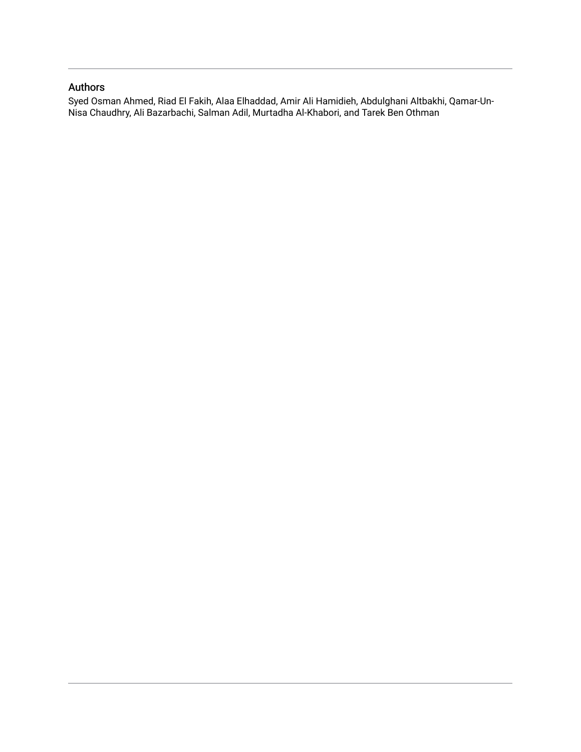### Authors

Syed Osman Ahmed, Riad El Fakih, Alaa Elhaddad, Amir Ali Hamidieh, Abdulghani Altbakhi, Qamar-Un-Nisa Chaudhry, Ali Bazarbachi, Salman Adil, Murtadha Al-Khabori, and Tarek Ben Othman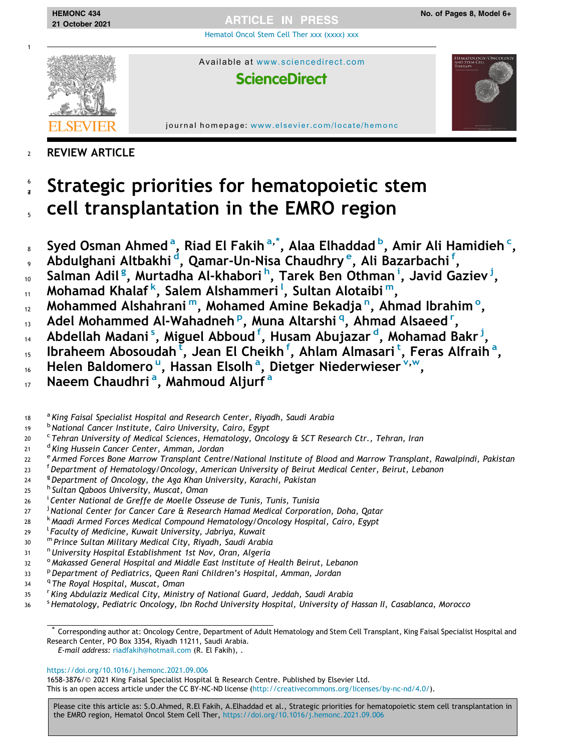[Hematol Oncol Stem Cell Ther xxx \(xxxx\) xxx](https://doi.org/10.1016/j.hemonc.2021.09.006)



21 October 2021

1

Available at <www.sciencedirect.com>

## **ScienceDirect**

journal homepage: [www.elsevier.com/locate/hemonc](http://www.elsevier.com/locate/hemonc)

### <sup>2</sup> REVIEW ARTICLE

- Strategic priorities for hematopoietic stem <sup>5</sup> cell transplantation in the EMRO region 6 7
- <sub>s</sub> Syed Osman Ahmed<sup>a</sup>, Riad El Fakih<sup>a,\*</sup>, Alaa Elhaddad <sup>b</sup>, Amir Ali Hamidieh <sup>c</sup>,
- , Abdulghani Altbakhi <sup>d</sup>, Qamar-Un-Nisa Chaudhry <sup>e</sup>, Ali Bazarbachi <sup>f</sup>,
- 10 Salman Adil<sup>g</sup>, Murtadha Al-khabori h, Tarek Ben Othman <sup>i</sup>, Javid Gaziev <sup>j</sup>,
- 11 Mohamad Khalaf <sup>k</sup>, Salem Alshammeri <sup>I</sup>, Sultan Alotaibi <sup>m</sup>,
- 12 Mohammed Alshahrani<sup>m</sup>, Mohamed Amine Bekadja<sup>n</sup>, Ahmad Ibrahim<sup>o</sup>,
- 13 Adel Mohammed Al-Wahadneh P, Muna Altarshi <sup>q</sup>, Ahmad Alsaeed <sup>r</sup>,
- 14 Abdellah Madani <sup>s</sup>, Miguel Abboud <sup>f</sup>, Husam Abujazar <sup>d</sup>, Mohamad Bakr <sup>j</sup>,
- 15 Ibraheem Abosoudah [t](#page-3-0), Jean El Cheikh f, Ahlam Almasari t, Feras Alfraih a,
- 16 Helen Baldomero <s[u](#page-3-0)p>u</sup>, Hassan Elsolh<sup>a</sup>, Dietger Niederwieser V, W
- 17 Naeem Chaudhri<sup>a</sup>, Mahmoud Aljurf<sup>a</sup>
- $18$  a King Faisal Specialist Hospital and Research Center, Riyadh, Saudi Arabia
- 19 bNational Cancer Institute, Cairo University, Cairo, Egypt
- <sup>c</sup> Tehran University of Medical Sciences, Hematology, Oncology & SCT Research Ctr., Tehran, Iran
- <sup>d</sup> King Hussein Cancer Center, Amman, Jordan
- <sup>e</sup> Armed Forces Bone Marrow Transplant Centre/National Institute of Blood and Marrow Transplant, Rawalpindi, Pakistan
- <sup>23</sup> <sup>f</sup> Department of Hematology/Oncology, American University of Beirut Medical Center, Beirut, Lebanon
- <sup>9</sup> Department of Oncology, the Aga Khan University, Karachi, Pakistan
- <sup>h</sup> Sultan Qaboos University, Muscat, Oman
- **26** <sup>i</sup> Center National de Greffe de Moelle Osseuse de Tunis, Tunis, Tunisia
- <sup>27</sup> <sup>j</sup> <sup>3</sup> National Center for Cancer Care & Research Hamad Medical Corporation, Doha, Qatar
- <sup>k</sup> Maadi Armed Forces Medical Compound Hematology/Oncology Hospital, Cairo, Egypt
- <sup>29</sup> <sup>l</sup> <sup>l</sup> Faculty of Medicine, Kuwait University, Jabriya, Kuwait
- <sup>30</sup> <sup>m</sup> Prince Sultan Military Medical City, Riyadh, Saudi Arabia
- 31 <sup>n</sup>University Hospital Establishment 1st Nov, Oran, Algeria
- 32 <sup>o</sup> Makassed General Hospital and Middle East Institute of Health Beirut, Lebanon
- <sup>33</sup> P Department of Pediatrics, Queen Rani Children's Hospital, Amman, Jordan
- 34 <sup>q</sup> The Royal Hospital, Muscat, Oman
- <sup>35</sup> <sup>r</sup> <sup>r</sup> King Abdulaziz Medical City, Ministry of National Guard, Jeddah, Saudi Arabia
- 36 <sup>s</sup> Hematology, Pediatric Oncology, Ibn Rochd University Hospital, University of Hassan II, Casablanca, Morocco

\* Corresponding author at: Oncology Centre, Department of Adult Hematology and Stem Cell Transplant, King Faisal Specialist Hospital and Research Center, PO Box 3354, Riyadh 11211, Saudi Arabia.

E-mail address: [riadfakih@hotmail.com](mailto:riadfakih@hotmail.com) (R. El Fakih), .

### <https://doi.org/10.1016/j.hemonc.2021.09.006>

1658-3876/© 2021 King Faisal Specialist Hospital & Research Centre. Published by Elsevier Ltd.

This is an open access article under the CC BY-NC-ND license ([http://creativecommons.org/licenses/by-nc-nd/4.0/\)](http://creativecommons.org/licenses/by-nc-nd/4.0/).

Please cite this article as: S.O.Ahmed, R.El Fakih, A.Elhaddad et al., Strategic priorities for hematopoietic stem cell transplantation in the EMRO region, Hematol Oncol Stem Cell Ther, <https://doi.org/10.1016/j.hemonc.2021.09.006>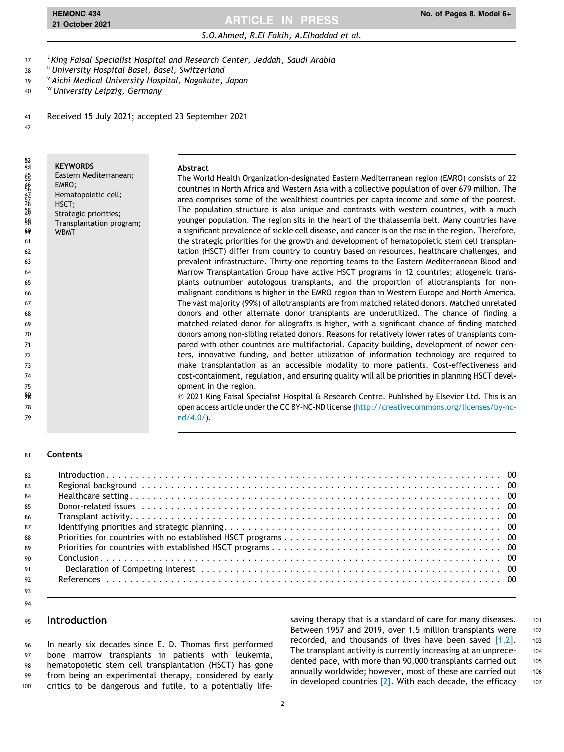### <span id="page-3-0"></span>S.O.Ahmed, R.El Fakih, A.Elhaddad et al. HEMONC 434 **No. of Pages 8, Model 6+**<br>21 October 2021 2014 2014 21 No. of Pages 8, Model 6+

<sup>t</sup> King Faisal Specialist Hospital and Research Center, Jeddah, Saudi Arabia

- 38 University Hospital Basel, Basel, Switzerland
- 39 Vaichi Medical University Hospital, Nagakute, Japan
- <sup>w</sup> University Leipzig, Germany
- Received 15 July 2021; accepted 23 September 2021
- 

**KEYWORDS**  Eastern Mediterranean; 46 EMRO;<br>47 Hemat<br>48 HSCT: Hematopoietic cell; 48 HSCT;<br>{{{}}  $\frac{18}{49}$  Strategic priorities;<br> $\frac{58}{49}$  Transplantation pro  $\frac{58}{99}$  Transplantation program; **WBMT** 52<br>44 **Abstract**  The World Health Organization-designated Eastern Mediterranean region (EMRO) consists of 22 countries in North Africa and Western Asia with a collective population of over 679 million. The area comprises some of the wealthiest countries per capita income and some of the poorest. The population structure is also unique and contrasts with western countries, with a much younger population. The region sits in the heart of the thalassemia belt. Many countries have a significant prevalence of sickle cell disease, and cancer is on the rise in the region. Therefore, the strategic priorities for the growth and development of hematopoietic stem cell transplan- tation (HSCT) differ from country to country based on resources, healthcare challenges, and prevalent infrastructure. Thirty-one reporting teams to the Eastern Mediterranean Blood and Marrow Transplantation Group have active HSCT programs in 12 countries; allogeneic trans- plants outnumber autologous transplants, and the proportion of allotransplants for non- malignant conditions is higher in the EMRO region than in Western Europe and North America. The vast majority (99%) of allotransplants are from matched related donors. Matched unrelated donors and other alternate donor transplants are underutilized. The chance of finding a matched related donor for allografts is higher, with a significant chance of finding matched donors among non-sibling related donors. Reasons for relatively lower rates of transplants com- pared with other countries are multifactorial. Capacity building, development of newer cen- ters, innovative funding, and better utilization of information technology are required to make transplantation as an accessible modality to more patients. Cost-effectiveness and cost-containment, regulation, and ensuring quality will all be priorities in planning HSCT devel- opment in the region. 2021 King Faisal Specialist Hospital & Research Centre. Published by Elsevier Ltd. This is an open access article under the CC BY-NC-ND license ([http://creativecommons.org/licenses/by-nc-](http://creativecommons.org/licenses/by-nc-nd/4.0/) [nd/4.0/](http://creativecommons.org/licenses/by-nc-nd/4.0/)). 

#### Contents

| 82 |  |
|----|--|
| 83 |  |
| 84 |  |
| 85 |  |
| 86 |  |
| 87 |  |
| 88 |  |
| 89 |  |
| 90 |  |
| 91 |  |
| 92 |  |
| 93 |  |

#### Introduction

 In nearly six decades since E. D. Thomas first performed bone marrow transplants in patients with leukemia, hematopoietic stem cell transplantation (HSCT) has gone from being an experimental therapy, considered by early critics to be dangerous and futile, to a potentially lifesaving therapy that is a standard of care for many diseases. 101 Between 1957 and 2019, over 1.5 million transplants were 102 recorded, and thousands of lives have been saved  $[1,2]$ . 103 The transplant activity is currently increasing at an unprece-<br>104 dented pace, with more than 90,000 transplants carried out 105 annually worldwide; however, most of these are carried out 106 in developed countries  $[2]$ . With each decade, the efficacy  $107$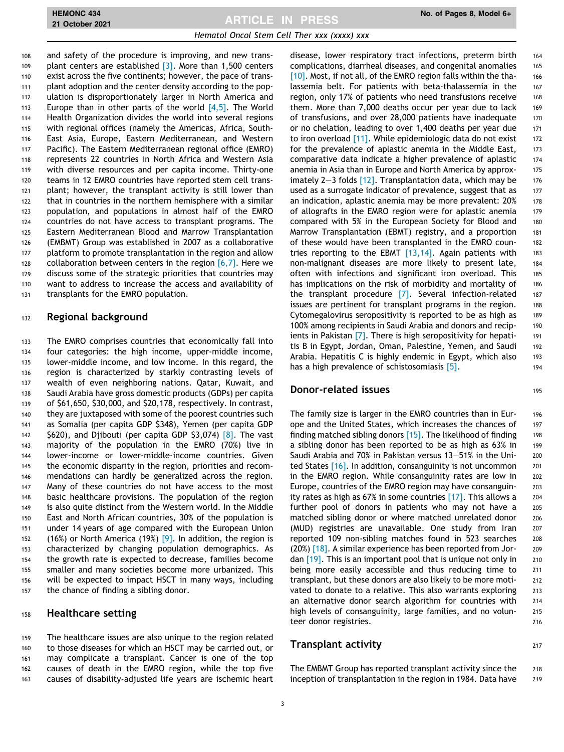and safety of the procedure is improving, and new trans-109 plant centers are established [\[3\].](#page-8-0) More than 1,500 centers exist across the five continents; however, the pace of trans- plant adoption and the center density according to the pop- ulation is disproportionately larger in North America and 113 Europe than in other parts of the world  $[4,5]$ . The World Health Organization divides the world into several regions with regional offices (namely the Americas, Africa, South- East Asia, Europe, Eastern Mediterranean, and Western Pacific). The Eastern Mediterranean regional office (EMRO) represents 22 countries in North Africa and Western Asia with diverse resources and per capita income. Thirty-one teams in 12 EMRO countries have reported stem cell trans- plant; however, the transplant activity is still lower than that in countries in the northern hemisphere with a similar population, and populations in almost half of the EMRO countries do not have access to transplant programs. The Eastern Mediterranean Blood and Marrow Transplantation (EMBMT) Group was established in 2007 as a collaborative platform to promote transplantation in the region and allow 128 collaboration between centers in the region  $[6,7]$ . Here we discuss some of the strategic priorities that countries may want to address to increase the access and availability of transplants for the EMRO population.

#### 132 Regional background

 The EMRO comprises countries that economically fall into four categories: the high income, upper-middle income, lower-middle income, and low income. In this regard, the region is characterized by starkly contrasting levels of wealth of even neighboring nations. Qatar, Kuwait, and Saudi Arabia have gross domestic products (GDPs) per capita of \$61,650, \$30,000, and \$20,178, respectively. In contrast, 140 they are juxtaposed with some of the poorest countries such as Somalia (per capita GDP \$348), Yemen (per capita GDP  $\frac{1}{2}$  \$620), and Djibouti (per capita GDP \$3,074) [\[8\].](#page-8-0) The vast majority of the population in the EMRO (70%) live in lower-income or lower-middle-income countries. Given the economic disparity in the region, priorities and recom- mendations can hardly be generalized across the region. Many of these countries do not have access to the most basic healthcare provisions. The population of the region is also quite distinct from the Western world. In the Middle East and North African countries, 30% of the population is under 14 years of age compared with the European Union 152 (16%) or North America (19%)  $[9]$ . In addition, the region is characterized by changing population demographics. As the growth rate is expected to decrease, families become smaller and many societies become more urbanized. This will be expected to impact HSCT in many ways, including the chance of finding a sibling donor.

#### 158 Healthcare setting

 The healthcare issues are also unique to the region related to those diseases for which an HSCT may be carried out, or may complicate a transplant. Cancer is one of the top causes of death in the EMRO region, while the top five causes of disability-adjusted life years are ischemic heart

disease, lower respiratory tract infections, preterm birth 164 complications, diarrheal diseases, and congenital anomalies 165 [\[10\]](#page-8-0). Most, if not all, of the EMRO region falls within the tha- 166 lassemia belt. For patients with beta-thalassemia in the 167 region, only 17% of patients who need transfusions receive 168 them. More than 7,000 deaths occur per year due to lack 169 of transfusions, and over 28,000 patients have inadequate 170 or no chelation, leading to over 1,400 deaths per year due 171 to iron overload  $[11]$ . While epidemiologic data do not exist  $172$ for the prevalence of aplastic anemia in the Middle East, 173 comparative data indicate a higher prevalence of aplastic 174 anemia in Asia than in Europe and North America by approx- 175 imately 2-3 folds  $[12]$ . Transplantation data, which may be 176 used as a surrogate indicator of prevalence, suggest that as 177 an indication, aplastic anemia may be more prevalent: 20% 178 of allografts in the EMRO region were for aplastic anemia 179 compared with 5% in the European Society for Blood and 180 Marrow Transplantation (EBMT) registry, and a proportion 181 of these would have been transplanted in the EMRO coun- 182 tries reporting to the EBMT [\[13,14\]](#page-8-0). Again patients with 183 non-malignant diseases are more likely to present late, 184 often with infections and significant iron overload. This 185 has implications on the risk of morbidity and mortality of 186 the transplant procedure [\[7\]](#page-8-0). Several infection-related 187 issues are pertinent for transplant programs in the region. 188 Cytomegalovirus seropositivity is reported to be as high as 189 100% among recipients in Saudi Arabia and donors and recip- 190 ients in Pakistan [\[7\]](#page-8-0). There is high seropositivity for hepati-<br>191 tis B in Egypt, Jordan, Oman, Palestine, Yemen, and Saudi 192 Arabia. Hepatitis C is highly endemic in Egypt, which also 193 has a high prevalence of schistosomiasis [\[5\].](#page-8-0) 194

#### **Donor-related issues** 195

The family size is larger in the EMRO countries than in Eur- 196 ope and the United States, which increases the chances of 197 finding matched sibling donors  $[15]$ . The likelihood of finding 198 a sibling donor has been reported to be as high as 63% in 199 Saudi Arabia and 70% in Pakistan versus 13–51% in the Uni- 200 ted States  $[16]$ . In addition, consanguinity is not uncommon 201 in the EMRO region. While consanguinity rates are low in 202 Europe, countries of the EMRO region may have consanguin- 203 ity rates as high as 67% in some countries  $[17]$ . This allows a 204 further pool of donors in patients who may not have a 205 matched sibling donor or where matched unrelated donor 206 (MUD) registries are unavailable. One study from Iran 207 reported 109 non-sibling matches found in 523 searches 208  $(20%)$  [\[18\].](#page-8-0) A similar experience has been reported from Jor- 209 dan  $[19]$ . This is an important pool that is unique not only in 210 being more easily accessible and thus reducing time to 211 transplant, but these donors are also likely to be more moti- 212 vated to donate to a relative. This also warrants exploring 213 an alternative donor search algorithm for countries with 214 high levels of consanguinity, large families, and no volun-<br>215 teer donor registries. 216

#### Transplant activity 217

The EMBMT Group has reported transplant activity since the 218 inception of transplantation in the region in 1984. Data have 219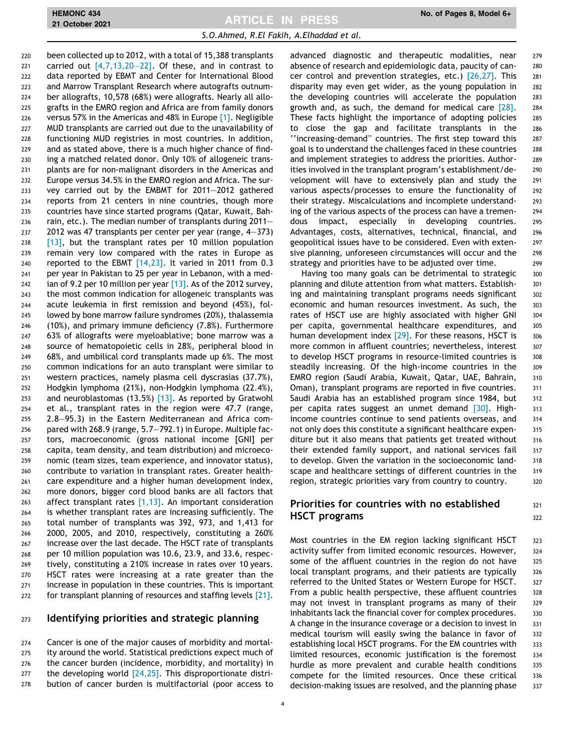been collected up to 2012, with a total of 15,388 transplants 221 carried out  $[4,7,13,20-22]$ . Of these, and in contrast to data reported by EBMT and Center for International Blood and Marrow Transplant Research where autografts outnum- ber allografts, 10,578 (68%) were allografts. Nearly all allo- grafts in the EMRO region and Africa are from family donors versus 57% in the Americas and 48% in Europe [\[1\]](#page-8-0). Negligible MUD transplants are carried out due to the unavailability of functioning MUD registries in most countries. In addition, and as stated above, there is a much higher chance of find- ing a matched related donor. Only 10% of allogeneic trans- plants are for non-malignant disorders in the Americas and Europe versus 34.5% in the EMRO region and Africa. The sur- vey carried out by the EMBMT for 2011–2012 gathered reports from 21 centers in nine countries, though more countries have since started programs (Qatar, Kuwait, Bah- rain, etc.). The median number of transplants during 2011– 2012 was 47 transplants per center per year (range, 4–373) [\[13\]](#page-8-0), but the transplant rates per 10 million population remain very low compared with the rates in Europe as reported to the EBMT [\[14,23\]](#page-8-0). It varied in 2011 from 0.3 per year in Pakistan to 25 per year in Lebanon, with a med-242 ian of 9.2 per 10 million per year  $[13]$ . As of the 2012 survey, the most common indication for allogeneic transplants was acute leukemia in first remission and beyond (45%), fol- lowed by bone marrow failure syndromes (20%), thalassemia (10%), and primary immune deficiency (7.8%). Furthermore 63% of allografts were myeloablative; bone marrow was a source of hematopoietic cells in 28%, peripheral blood in 68%, and umbilical cord transplants made up 6%. The most common indications for an auto transplant were similar to western practices, namely plasma cell dyscrasias (37.7%), Hodgkin lymphoma (21%), non-Hodgkin lymphoma (22.4%), and neuroblastomas (13.5%) [\[13\]](#page-8-0). As reported by Gratwohl et al., transplant rates in the region were 47.7 (range, 2.8–95.3) in the Eastern Mediterranean and Africa com- pared with 268.9 (range, 5.7–792.1) in Europe. Multiple fac- tors, macroeconomic (gross national income [GNI] per capita, team density, and team distribution) and microeco- nomic (team sizes, team experience, and innovator status), contribute to variation in transplant rates. Greater health- care expenditure and a higher human development index, more donors, bigger cord blood banks are all factors that 263 affect transplant rates  $[1,13]$ . An important consideration is whether transplant rates are increasing sufficiently. The total number of transplants was 392, 973, and 1,413 for 2000, 2005, and 2010, respectively, constituting a 260% increase over the last decade. The HSCT rate of transplants per 10 million population was 10.6, 23.9, and 33.6, respec- tively, constituting a 210% increase in rates over 10 years. HSCT rates were increasing at a rate greater than the increase in population in these countries. This is important 272 for transplant planning of resources and staffing levels [\[21\]](#page-9-0).

#### 273 Identifying priorities and strategic planning

 Cancer is one of the major causes of morbidity and mortal- ity around the world. Statistical predictions expect much of the cancer burden (incidence, morbidity, and mortality) in 277 the developing world [\[24,25\].](#page-9-0) This disproportionate distri-bution of cancer burden is multifactorial (poor access to advanced diagnostic and therapeutic modalities, near 279 absence of research and epidemiologic data, paucity of can- 280 cer control and prevention strategies, etc.) [\[26,27\].](#page-9-0) This 281 disparity may even get wider, as the young population in 282 the developing countries will accelerate the population 283 growth and, as such, the demand for medical care  $[28]$ . 284 These facts highlight the importance of adopting policies 285 to close the gap and facilitate transplants in the 286 ''increasing-demand" countries. The first step toward this <sup>287</sup> goal is to understand the challenges faced in these countries 288 and implement strategies to address the priorities. Author- 289 ities involved in the transplant program's establishment/de- 290 velopment will have to extensively plan and study the 291 various aspects/processes to ensure the functionality of 292 their strategy. Miscalculations and incomplete understand- 293 ing of the various aspects of the process can have a tremen- 294 dous impact, especially in developing countries. 295 Advantages, costs, alternatives, technical, financial, and 296 geopolitical issues have to be considered. Even with exten- 297 sive planning, unforeseen circumstances will occur and the 298 strategy and priorities have to be adjusted over time. 299

Having too many goals can be detrimental to strategic 300 planning and dilute attention from what matters. Establish- 301 ing and maintaining transplant programs needs significant 302 economic and human resources investment. As such, the 303 rates of HSCT use are highly associated with higher GNI 304 per capita, governmental healthcare expenditures, and 305 human development index  $[29]$ . For these reasons, HSCT is  $306$ more common in affluent countries; nevertheless, interest 307 to develop HSCT programs in resource-limited countries is 308 steadily increasing. Of the high-income countries in the 309 EMRO region (Saudi Arabia, Kuwait, Qatar, UAE, Bahrain, 310 Oman), transplant programs are reported in five countries. 311 Saudi Arabia has an established program since 1984, but 312 per capita rates suggest an unmet demand [\[30\].](#page-9-0) High- 313 income countries continue to send patients overseas, and 314 not only does this constitute a significant healthcare expen- 315 diture but it also means that patients get treated without 316 their extended family support, and national services fail 317 to develop. Given the variation in the socioeconomic land- 318 scape and healthcare settings of different countries in the 319 region, strategic priorities vary from country to country. 320

#### Priorities for countries with no established  $321$ HSCT programs 322

Most countries in the EM region lacking significant HSCT 323 activity suffer from limited economic resources. However, 324 some of the affluent countries in the region do not have 325 local transplant programs, and their patients are typically 326 referred to the United States or Western Europe for HSCT. 327 From a public health perspective, these affluent countries 328 may not invest in transplant programs as many of their 329 inhabitants lack the financial cover for complex procedures. 330 A change in the insurance coverage or a decision to invest in 331 medical tourism will easily swing the balance in favor of 332 establishing local HSCT programs. For the EM countries with 333 limited resources, economic justification is the foremost 334 hurdle as more prevalent and curable health conditions 335 compete for the limited resources. Once these critical 336 decision-making issues are resolved, and the planning phase 337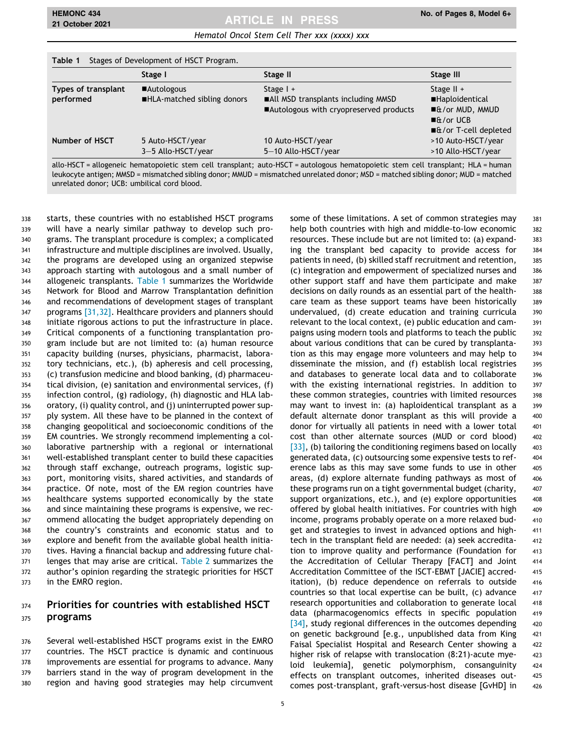## HEMONC 434 No. of Pages 8, Model 6+

|                     | Stage I                     | Stage II                                | Stage III                             |
|---------------------|-----------------------------|-----------------------------------------|---------------------------------------|
| Types of transplant | ■Autologous                 | Stage $1 +$                             | Stage $II +$                          |
| performed           | ■HLA-matched sibling donors | ■All MSD transplants including MMSD     | <b>Haploidentical</b>                 |
|                     |                             | ■Autologous with cryopreserved products | ■&/or MUD, MMUD                       |
|                     |                             |                                         | $\blacksquare$ & / or UCB             |
|                     |                             |                                         | $\blacksquare$ & / or T-cell depleted |
| Number of HSCT      | 5 Auto-HSCT/year            | 10 Auto-HSCT/year                       | >10 Auto-HSCT/year                    |
|                     | 3-5 Allo-HSCT/year          | 5-10 Allo-HSCT/year                     | >10 Allo-HSCT/year                    |

allo-HSCT = allogeneic hematopoietic stem cell transplant; auto-HSCT = autologous hematopoietic stem cell transplant; HLA = human leukocyte antigen; MMSD = mismatched sibling donor; MMUD = mismatched unrelated donor; MSD = matched sibling donor; MUD = matched unrelated donor; UCB: umbilical cord blood.

 starts, these countries with no established HSCT programs will have a nearly similar pathway to develop such pro- grams. The transplant procedure is complex; a complicated infrastructure and multiple disciplines are involved. Usually, the programs are developed using an organized stepwise approach starting with autologous and a small number of allogeneic transplants. Table 1 summarizes the Worldwide Network for Blood and Marrow Transplantation definition and recommendations of development stages of transplant 347 programs [\[31,32\].](#page-9-0) Healthcare providers and planners should initiate rigorous actions to put the infrastructure in place. Critical components of a functioning transplantation pro- gram include but are not limited to: (a) human resource capacity building (nurses, physicians, pharmacist, labora- tory technicians, etc.), (b) apheresis and cell processing, (c) transfusion medicine and blood banking, (d) pharmaceu- tical division, (e) sanitation and environmental services, (f) infection control, (g) radiology, (h) diagnostic and HLA lab- oratory, (i) quality control, and (j) uninterrupted power sup- ply system. All these have to be planned in the context of changing geopolitical and socioeconomic conditions of the EM countries. We strongly recommend implementing a col- laborative partnership with a regional or international well-established transplant center to build these capacities through staff exchange, outreach programs, logistic sup- port, monitoring visits, shared activities, and standards of practice. Of note, most of the EM region countries have healthcare systems supported economically by the state and since maintaining these programs is expensive, we rec- ommend allocating the budget appropriately depending on the country's constraints and economic status and to explore and benefit from the available global health initia- tives. Having a financial backup and addressing future chal-371 lenges that may arise are critical. [Table 2](#page-7-0) summarizes the author's opinion regarding the strategic priorities for HSCT in the EMRO region.

#### 374 Priorities for countries with established HSCT 375 **programs**

 Several well-established HSCT programs exist in the EMRO countries. The HSCT practice is dynamic and continuous improvements are essential for programs to advance. Many barriers stand in the way of program development in the region and having good strategies may help circumvent some of these limitations. A set of common strategies may 381 help both countries with high and middle-to-low economic 382 resources. These include but are not limited to: (a) expand- 383 ing the transplant bed capacity to provide access for 384 patients in need, (b) skilled staff recruitment and retention, 385 (c) integration and empowerment of specialized nurses and 386 other support staff and have them participate and make 387 decisions on daily rounds as an essential part of the health-<br>388 care team as these support teams have been historically 389 undervalued, (d) create education and training curricula 390 relevant to the local context, (e) public education and cam- 391 paigns using modern tools and platforms to teach the public 392 about various conditions that can be cured by transplanta- 393 tion as this may engage more volunteers and may help to 394 disseminate the mission, and (f) establish local registries 395 and databases to generate local data and to collaborate 396 with the existing international registries. In addition to 397 these common strategies, countries with limited resources 398 may want to invest in: (a) haploidentical transplant as a 399 default alternate donor transplant as this will provide a 400 donor for virtually all patients in need with a lower total 401 cost than other alternate sources (MUD or cord blood) 402  $[33]$ , (b) tailoring the conditioning regimens based on locally  $403$ generated data, (c) outsourcing some expensive tests to ref- 404 erence labs as this may save some funds to use in other 405 areas, (d) explore alternate funding pathways as most of  $406$ these programs run on a tight governmental budget (charity,  $407$ support organizations, etc.), and (e) explore opportunities 408 offered by global health initiatives. For countries with high 409 income, programs probably operate on a more relaxed bud- 410 get and strategies to invest in advanced options and high- 411 tech in the transplant field are needed: (a) seek accredita- 412 tion to improve quality and performance (Foundation for 413 the Accreditation of Cellular Therapy [FACT] and Joint 414 Accreditation Committee of the ISCT-EBMT [JACIE] accred- 415 itation), (b) reduce dependence on referrals to outside 416 countries so that local expertise can be built, (c) advance 417 research opportunities and collaboration to generate local 418 data (pharmacogenomics effects in specific population 419  $[34]$ , study regional differences in the outcomes depending  $420$ on genetic background [e.g., unpublished data from King 421 Faisal Specialist Hospital and Research Center showing a 422 higher risk of relapse with translocation (8:21)-acute mye- 423 loid leukemia], genetic polymorphism, consanguinity 424 effects on transplant outcomes, inherited diseases out- 425 comes post-transplant, graft-versus-host disease [GvHD] in 426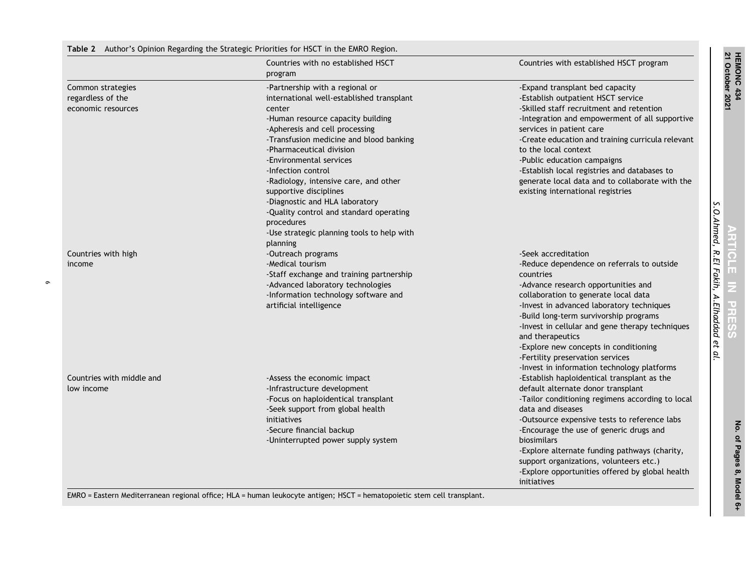#### Table 2 Author's Opinion Regarding the Strategic Priorities for HSCT in the EMRO Region.

<span id="page-7-0"></span>

|                           | Countries with no established HSCT         | Countries with established HSCT program           |
|---------------------------|--------------------------------------------|---------------------------------------------------|
|                           | program                                    |                                                   |
| Common strategies         | -Partnership with a regional or            | -Expand transplant bed capacity                   |
| regardless of the         | international well-established transplant  | -Establish outpatient HSCT service                |
| economic resources        | center                                     | -Skilled staff recruitment and retention          |
|                           | -Human resource capacity building          | -Integration and empowerment of all supportive    |
|                           | -Apheresis and cell processing             | services in patient care                          |
|                           | -Transfusion medicine and blood banking    | -Create education and training curricula relevant |
|                           | -Pharmaceutical division                   | to the local context                              |
|                           | -Environmental services                    | -Public education campaigns                       |
|                           | -Infection control                         | -Establish local registries and databases to      |
|                           | -Radiology, intensive care, and other      | generate local data and to collaborate with the   |
|                           | supportive disciplines                     | existing international registries                 |
|                           | -Diagnostic and HLA laboratory             |                                                   |
|                           | -Quality control and standard operating    |                                                   |
|                           | procedures                                 |                                                   |
|                           | -Use strategic planning tools to help with |                                                   |
|                           | planning                                   |                                                   |
| Countries with high       | -Outreach programs                         | -Seek accreditation                               |
| income                    | -Medical tourism                           | -Reduce dependence on referrals to outside        |
|                           | -Staff exchange and training partnership   | countries                                         |
|                           | -Advanced laboratory technologies          | -Advance research opportunities and               |
|                           | -Information technology software and       | collaboration to generate local data              |
|                           | artificial intelligence                    | -Invest in advanced laboratory techniques         |
|                           |                                            | -Build long-term survivorship programs            |
|                           |                                            | -Invest in cellular and gene therapy techniques   |
|                           |                                            | and therapeutics                                  |
|                           |                                            |                                                   |
|                           |                                            | -Explore new concepts in conditioning             |
|                           |                                            | -Fertility preservation services                  |
|                           |                                            | -Invest in information technology platforms       |
| Countries with middle and | -Assess the economic impact                | -Establish haploidentical transplant as the       |
| low income                | -Infrastructure development                | default alternate donor transplant                |
|                           | -Focus on haploidentical transplant        | -Tailor conditioning regimens according to local  |
|                           | -Seek support from global health           | data and diseases                                 |
|                           | initiatives                                | -Outsource expensive tests to reference labs      |
|                           | -Secure financial backup                   | -Encourage the use of generic drugs and           |
|                           | -Uninterrupted power supply system         | biosimilars                                       |
|                           |                                            | -Explore alternate funding pathways (charity,     |
|                           |                                            | support organizations, volunteers etc.)           |
|                           |                                            | -Explore opportunities offered by global health   |
|                           |                                            | <i>initiatives</i>                                |

EMRO <sup>=</sup> Eastern Mediterranean regional office; HLA <sup>=</sup> human leukocyte antigen; HSCT <sup>=</sup> hematopoietic stem cell transplant.

No. of Pages 8, Model 6+ No. of Pages 8, Model 6+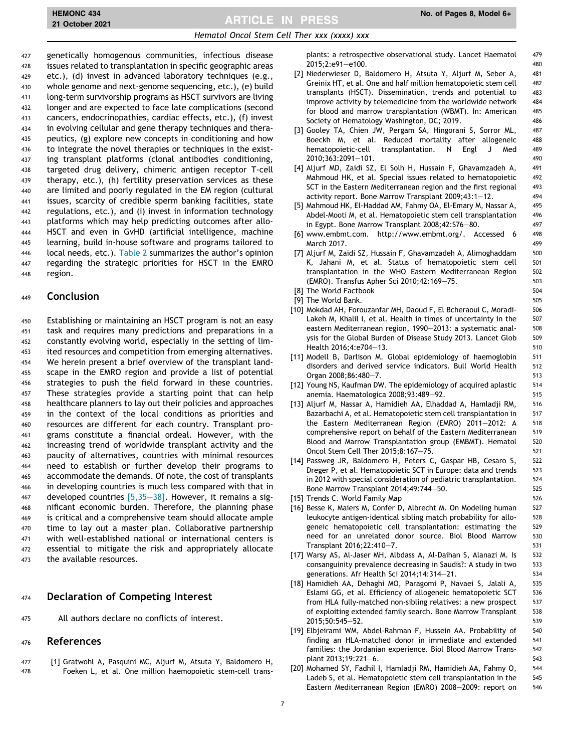## <span id="page-8-0"></span>HEMONC 434 No. of Pages 8, Model 6+<br>21 October 2021 2007 12:00 No. of Pages 8, Model 6+

#### Hematol Oncol Stem Cell Ther xxx (xxxx) xxx

 genetically homogenous communities, infectious disease issues related to transplantation in specific geographic areas etc.), (d) invest in advanced laboratory techniques (e.g., whole genome and next-genome sequencing, etc.), (e) build long-term survivorship programs as HSCT survivors are living longer and are expected to face late complications (second cancers, endocrinopathies, cardiac effects, etc.), (f) invest in evolving cellular and gene therapy techniques and thera-435 peutics, (g) explore new concepts in conditioning and how to integrate the novel therapies or techniques in the exist- ing transplant platforms (clonal antibodies conditioning, targeted drug delivery, chimeric antigen receptor T-cell therapy, etc.), (h) fertility preservation services as these are limited and poorly regulated in the EM region (cultural issues, scarcity of credible sperm banking facilities, state regulations, etc.), and (i) invest in information technology platforms which may help predicting outcomes after allo- HSCT and even in GvHD (artificial intelligence, machine learning, build in-house software and programs tailored to local needs, etc.). [Table 2](#page-7-0) summarizes the author's opinion regarding the strategic priorities for HSCT in the EMRO 448 region.

#### <sup>449</sup> Conclusion

 Establishing or maintaining an HSCT program is not an easy task and requires many predictions and preparations in a constantly evolving world, especially in the setting of lim-453 ited resources and competition from emerging alternatives. We herein present a brief overview of the transplant land- scape in the EMRO region and provide a list of potential strategies to push the field forward in these countries. These strategies provide a starting point that can help healthcare planners to lay out their policies and approaches in the context of the local conditions as priorities and resources are different for each country. Transplant pro- grams constitute a financial ordeal. However, with the increasing trend of worldwide transplant activity and the paucity of alternatives, countries with minimal resources need to establish or further develop their programs to accommodate the demands. Of note, the cost of transplants in developing countries is much less compared with that in 467 developed countries  $[5,35-38]$ . However, it remains a sig- nificant economic burden. Therefore, the planning phase is critical and a comprehensive team should allocate ample time to lay out a master plan. Collaborative partnership with well-established national or international centers is essential to mitigate the risk and appropriately allocate the available resources.

#### 474 Declaration of Competing Interest

475 All authors declare no conflicts of interest.

#### <sup>476</sup> References

477 [1] Gratwohl A, Pasquini MC, Aljurf M, Atsuta Y, Baldomero H, 478 Foeken L, et al. One million haemopoietic stem-cell transplants: a retrospective observational study. Lancet Haematol 479 2015;2:e91–e100. 480

- [2] Niederwieser D, Baldomero H, Atsuta Y, Aljurf M, Seber A, 481 Greinix HT, et al. One and half million hematopoietic stem cell 482 transplants (HSCT). Dissemination, trends and potential to 483 improve activity by telemedicine from the worldwide network 484 for blood and marrow transplantation (WBMT). In: American 485 Society of Hematology Washington, DC; 2019.
- [3] Gooley TA, Chien JW, Pergam SA, Hingorani S, Sorror ML, 487 Boeckh M, et al. Reduced mortality after allogeneic 488 hematopoietic-cell transplantation. N Engl J Med 489 2010;363:2091–101. 490
- [4] Aljurf MD, Zaidi SZ, El Solh H, Hussain F, Ghavamzadeh A, 491 Mahmoud HK, et al. Special issues related to hematopoietic 492 SCT in the Eastern Mediterranean region and the first regional 493 activity report. Bone Marrow Transplant 2009;43:1–12. 494
- [5] Mahmoud HK, El-Haddad AM, Fahmy OA, El-Emary M, Nassar A, 495 Abdel-Mooti M, et al. Hematopoietic stem cell transplantation 496 in Egypt. Bone Marrow Transplant 2008;42:S76-80.
- [6] www.embmt.com. http://www.embmt.org/. Accessed 6 498 March 2017. 499
- [7] Aljurf M, Zaidi SZ, Hussain F, Ghavamzadeh A, Alimoghaddam 500 K, Jahani M, et al. Status of hematopoietic stem cell 501 transplantation in the WHO Eastern Mediterranean Region 502 (EMRO). Transfus Apher Sci 2010;42:169–75. 503
- [8] The World Factbook 504
- [9] The World Bank. 505
- [10] Mokdad AH, Forouzanfar MH, Daoud F, El Bcheraoui C, Moradi- 506 Lakeh M, Khalil I, et al. Health in times of uncertainty in the 507 eastern Mediterranean region, 1990–2013: a systematic anal- 508 ysis for the Global Burden of Disease Study 2013. Lancet Glob 509 Health 2016;4:e704–13. 510
- [11] Modell B, Darlison M. Global epidemiology of haemoglobin 511 disorders and derived service indicators. Bull World Health 512 Organ 2008;86:480-7.
- [12] Young NS, Kaufman DW. The epidemiology of acquired aplastic 514 anemia. Haematologica 2008; 93: 489 - 92. Shahaman and Superior 315
- [13] Aljurf M, Nassar A, Hamidieh AA, Elhaddad A, Hamladji RM, 516 Bazarbachi A, et al. Hematopoietic stem cell transplantation in 517 the Eastern Mediterranean Region (EMRO) 2011–2012: A 518 comprehensive report on behalf of the Eastern Mediterranean 519 Blood and Marrow Transplantation group (EMBMT). Hematol 520 Oncol Stem Cell Ther 2015;8:167–75. 521
- [14] Passweg JR, Baldomero H, Peters C, Gaspar HB, Cesaro S, 522 Dreger P, et al. Hematopoietic SCT in Europe: data and trends 523 in 2012 with special consideration of pediatric transplantation. 524 Bone Marrow Transplant 2014;49:744–50. 525
- [15] Trends C. World Family Map 526
- [16] Besse K, Maiers M, Confer D, Albrecht M. On Modeling human 527 leukocyte antigen-identical sibling match probability for allo- 528 geneic hematopoietic cell transplantation: estimating the 529 need for an unrelated donor source. Biol Blood Marrow 530 Transplant 2016;22:410–7. 531
- [17] Warsy AS, Al-Jaser MH, Albdass A, Al-Daihan S, Alanazi M. Is 532 consanguinity prevalence decreasing in Saudis?: A study in two 533 generations. Afr Health Sci 2014;14:314–21. 534
- [18] Hamidieh AA, Dehaghi MO, Paragomi P, Navaei S, Jalali A, 535 Eslami GG, et al. Efficiency of allogeneic hematopoietic SCT 536 from HLA fully-matched non-sibling relatives: a new prospect 537 of exploiting extended family search. Bone Marrow Transplant 538 2015;50:545–52. 539
- [19] Elbjeirami WM, Abdel-Rahman F, Hussein AA. Probability of 540 finding an HLA-matched donor in immediate and extended 541 families: the Jordanian experience. Biol Blood Marrow Trans- 542 plant 2013;19:221–6. 543
- [20] Mohamed SY, Fadhil I, Hamladji RM, Hamidieh AA, Fahmy O, 544 Ladeb S, et al. Hematopoietic stem cell transplantation in the 545 Eastern Mediterranean Region (EMRO) 2008–2009: report on 546